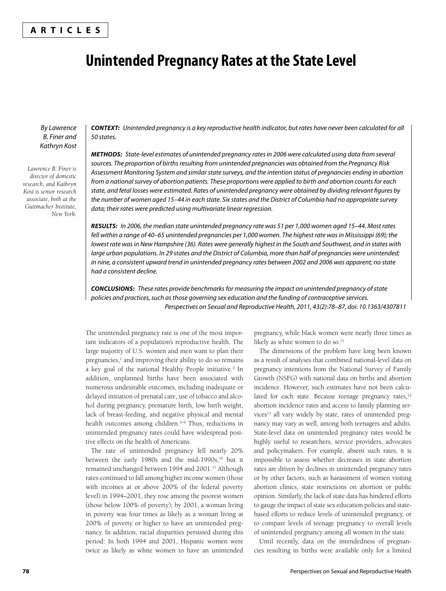## **ARTICLES**

# **Unintended Pregnancy Rates at the State Level**

By Lawrence B. Finer and Kathryn Kost

*Lawrence B. Finer is director of domestic research, and Kathryn Kost is senior research associate, both at the Guttmacher Institute, New York.*

*CONTEXT:* Unintended pregnancy is a key reproductive health indicator, but rates have never been calculated for all 50 states.

*METHODS:* State-level estimates of unintended pregnancy rates in 2006 were calculated using data from several sources. The proportion of births resulting from unintended pregnancies was obtained from the Pregnancy Risk Assessment Monitoring System and similar state surveys, and the intention status of pregnancies ending in abortion from a national survey of abortion patients. These proportions were applied to birth and abortion counts for each state, and fetal losses were estimated. Rates of unintended pregnancy were obtained by dividing relevant figures by the number of women aged 15–44 in each state. Six states and the District of Columbia had no appropriate survey data; their rates were predicted using multivariate linear regression.

*RESULTS:* In 2006, the median state unintended pregnancy rate was 51 per 1,000 women aged 15–44. Most rates fell within a range of 40–65 unintended pregnancies per 1,000 women. The highest rate was in Mississippi (69); the lowest rate was in New Hampshire (36). Rates were generally highest in the South and Southwest, and in states with large urban populations. In 29 states and the District of Columbia, more than half of pregnancies were unintended; in nine, a consistent upward trend in unintended pregnancy rates between 2002 and 2006 was apparent; no state had a consistent decline.

*CONCLUSIONS:* These rates provide benchmarks for measuring the impact on unintended pregnancy of state policies and practices, such as those governing sex education and the funding of contraceptive services. Perspectives on Sexual and Reproductive Health, 2011, 43(2):78–87, doi: 10.1363/4307811

The unintended pregnancy rate is one of the most important indicators of a population's reproductive health. The large majority of U.S. women and men want to plan their pregnancies,<sup>1</sup> and improving their ability to do so remains a key goal of the national Healthy People initiative.<sup>2</sup> In addition, unplanned births have been associated with numerous undesirable outcomes, including inadequate or delayed initiation of prenatal care, use of tobacco and alcohol during pregnancy, premature birth, low birth weight, lack of breast-feeding, and negative physical and mental health outcomes among children.<sup>3-9</sup> Thus, reductions in unintended pregnancy rates could have widespread positive effects on the health of Americans.

The rate of unintended pregnancy fell nearly 20% between the early 1980s and the mid-1990s, $10$  but it remained unchanged between 1994 and 2001.<sup>11</sup> Although rates continued to fall among higher income women (those with incomes at or above 200% of the federal poverty level) in 1994–2001, they rose among the poorest women (those below 100% of poverty); by 2001, a woman living in poverty was four times as likely as a woman living at 200% of poverty or higher to have an unintended pregnancy. In addition, racial disparities persisted during this period: In both 1994 and 2001, Hispanic women were twice as likely as white women to have an unintended pregnancy, while black women were nearly three times as likely as white women to do so.<sup>11</sup>

The dimensions of the problem have long been known as a result of analyses that combined national-level data on pregnancy intentions from the National Survey of Family Growth (NSFG) with national data on births and abortion incidence. However, such estimates have not been calculated for each state. Because teenage pregnancy rates,<sup>12</sup> abortion incidence rates and access to family planning services<sup>13</sup> all vary widely by state, rates of unintended pregnancy may vary as well, among both teenagers and adults. State-level data on unintended pregnancy rates would be highly useful to researchers, service providers, advocates and policymakers. For example, absent such rates, it is impossible to assess whether decreases in state abortion rates are driven by declines in unintended pregnancy rates or by other factors, such as harassment of women visiting abortion clinics, state restrictions on abortion or public opinion. Similarly, the lack of state data has hindered efforts to gauge the impact of state sex education policies and statebased efforts to reduce levels of unintended pregnancy, or to compare levels of teenage pregnancy to overall levels of unintended pregnancy among all women in the state.

Until recently, data on the intendedness of pregnancies resulting in births were available only for a limited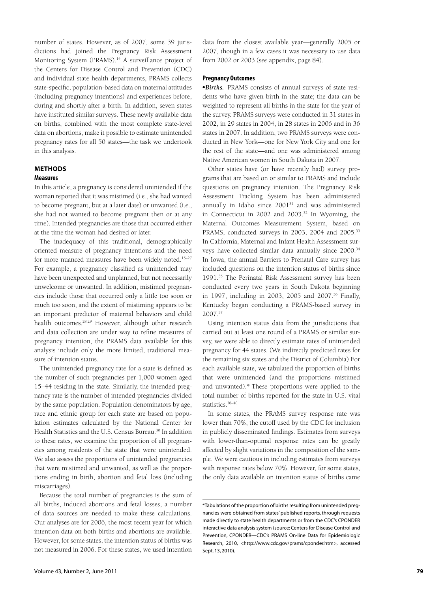number of states. However, as of 2007, some 39 jurisdictions had joined the Pregnancy Risk Assessment Monitoring System (PRAMS).<sup>14</sup> A surveillance project of the Centers for Disease Control and Prevention (CDC) and individual state health departments, PRAMS collects state-specific, population-based data on maternal attitudes (including pregnancy intentions) and experiences before, during and shortly after a birth. In addition, seven states have instituted similar surveys. These newly available data on births, combined with the most complete state-level data on abortions, make it possible to estimate unintended pregnancy rates for all 50 states—the task we undertook in this analysis.

## **METHODS Measures**

In this article, a pregnancy is considered unintended if the woman reported that it was mistimed (i.e., she had wanted to become pregnant, but at a later date) or unwanted (i.e., she had not wanted to become pregnant then or at any time). Intended pregnancies are those that occurred either at the time the woman had desired or later.

The inadequacy of this traditional, demographically oriented measure of pregnancy intentions and the need for more nuanced measures have been widely noted.<sup>15-27</sup> For example, a pregnancy classified as unintended may have been unexpected and unplanned, but not necessarily unwelcome or unwanted. In addition, mistimed pregnancies include those that occurred only a little too soon or much too soon, and the extent of mistiming appears to be an important predictor of maternal behaviors and child health outcomes.28,29 However, although other research and data collection are under way to refine measures of pregnancy intention, the PRAMS data available for this analysis include only the more limited, traditional measure of intention status.

The unintended pregnancy rate for a state is defined as the number of such pregnancies per 1,000 women aged 15 –44 residing in the state. Similarly, the intended pregnancy rate is the number of intended pregnancies divided by the same population. Population denominators by age, race and ethnic group for each state are based on population estimates calculated by the National Center for Health Statistics and the U.S. Census Bureau.<sup>30</sup> In addition to these rates, we examine the proportion of all pregnancies among residents of the state that were unintended. We also assess the proportions of unintended pregnancies that were mistimed and unwanted, as well as the proportions ending in birth, abortion and fetal loss (including miscarriages).

Because the total number of pregnancies is the sum of all births, induced abortions and fetal losses, a number of data sources are needed to make these calculations. Our analyses are for 2006, the most recent year for which intention data on both births and abortions are available. However, for some states, the intention status of births was not measured in 2006. For these states, we used intention

data from the closest available year—generally 2005 or 2007, though in a few cases it was necessary to use data from 2002 or 2003 (see appendix, page 84).

#### **Pregnancy Outcomes**

-*Births.* PRAMS consists of annual surveys of state residents who have given birth in the state; the data can be weighted to represent all births in the state for the year of the survey. PRAMS surveys were conducted in 31 states in 2002, in 29 states in 2004, in 28 states in 2006 and in 36 states in 2007. In addition, two PRAMS surveys were conducted in New York—one for New York City and one for the rest of the state—and one was administered among Native American women in South Dakota in 2007.

Other states have (or have recently had) survey programs that are based on or similar to PRAMS and include questions on pregnancy intention. The Pregnancy Risk Assessment Tracking System has been administered annually in Idaho since 200131 and was administered in Connecticut in 2002 and 2003.32 In Wyoming, the Maternal Outcomes Measurement System, based on PRAMS, conducted surveys in 2003, 2004 and 2005.<sup>33</sup> In California, Maternal and Infant Health Assessment surveys have collected similar data annually since 2000.34 In Iowa, the annual Barriers to Prenatal Care survey has included questions on the intention status of births since 1991.35 The Perinatal Risk Assessment survey has been conducted every two years in South Dakota beginning in 1997, including in 2003, 2005 and 2007.<sup>36</sup> Finally, Kentucky began conducting a PRAMS-based survey in 2007.37

Using intention status data from the jurisdictions that carried out at least one round of a PRAMS or similar survey, we were able to directly estimate rates of unintended pregnancy for 44 states. (We indirectly predicted rates for the remaining six states and the District of Columbia) For each available state, we tabulated the proportion of births that were unintended (and the proportions mistimed and unwanted).\* These proportions were applied to the total number of births reported for the state in U.S. vital statistics.38–40

In some states, the PRAMS survey response rate was lower than 70%, the cutoff used by the CDC for inclusion in publicly disseminated findings. Estimates from surveys with lower-than-optimal response rates can be greatly affected by slight variations in the composition of the sample. We were cautious in including estimates from surveys with response rates below 70%. However, for some states, the only data available on intention status of births came

<sup>\*</sup>Tabulations of the proportion of births resulting from unintended pregnancies were obtained from states' published reports, through requests made directly to state health departments or from the CDC's CPONDER interactive data analysis system (source: Centers for Disease Control and Prevention, CPONDER—CDC's PRAMS On-line Data for Epidemiologic Research, 2010, <http://www.cdc.gov/prams/cponder.htm>, accessed Sept. 13, 2010).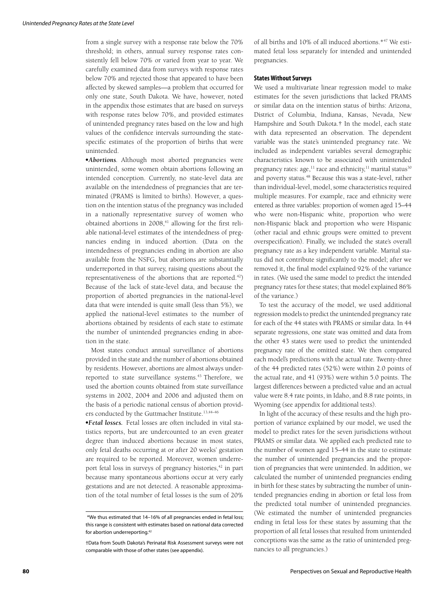from a single survey with a response rate below the 70% threshold; in others, annual survey response rates consistently fell below 70% or varied from year to year. We carefully examined data from surveys with response rates below 70% and rejected those that appeared to have been affected by skewed samples—a problem that occurred for only one state, South Dakota. We have, however, noted in the appendix those estimates that are based on surveys with response rates below 70%, and provided estimates of unintended pregnancy rates based on the low and high values of the confidence intervals surrounding the statespecific estimates of the proportion of births that were unintended.

-*Abortions.* Although most aborted pregnancies were unintended, some women obtain abortions following an intended conception. Currently, no state-level data are available on the intendedness of pregnancies that are terminated (PRAMS is limited to births). However, a question on the intention status of the pregnancy was included in a nationally representative survey of women who obtained abortions in  $2008$ ,<sup>41</sup> allowing for the first reliable national-level estimates of the intendedness of pregnancies ending in induced abortion. (Data on the intendedness of pregnancies ending in abortion are also available from the NSFG, but abortions are substantially underreported in that survey, raising questions about the representativeness of the abortions that are reported.<sup>42</sup>) Because of the lack of state-level data, and because the proportion of aborted pregnancies in the national-level data that were intended is quite small (less than 5%), we applied the national-level estimates to the number of abortions obtained by residents of each state to estimate the number of unintended pregnancies ending in abortion in the state.

Most states conduct annual surveillance of abortions provided in the state and the number of abortions obtained by residents. However, abortions are almost always underreported to state surveillance systems.<sup>43</sup> Therefore, we used the abortion counts obtained from state surveillance systems in 2002, 2004 and 2006 and adjusted them on the basis of a periodic national census of abortion providers conducted by the Guttmacher Institute.<sup>13,44-46</sup>

-*Fetal losses.* Fetal losses are often included in vital statistics reports, but are undercounted to an even greater degree than induced abortions because in most states, only fetal deaths occurring at or after 20 weeks' gestation are required to be reported. Moreover, women underreport fetal loss in surveys of pregnancy histories,<sup>42</sup> in part because many spontaneous abortions occur at very early gestations and are not detected. A reasonable approximation of the total number of fetal losses is the sum of 20% of all births and 10% of all induced abortions.\*47 We estimated fetal loss separately for intended and unintended pregnancies.

#### **States Without Surveys**

We used a multivariate linear regression model to make estimates for the seven jurisdictions that lacked PRAMS or similar data on the intention status of births: Arizona, District of Columbia, Indiana, Kansas, Nevada, New Hampshire and South Dakota.† In the model, each state with data represented an observation. The dependent variable was the state's unintended pregnancy rate. We included as independent variables several demographic characteristics known to be associated with unintended pregnancy rates: age, $^{11}$  race and ethnicity, $^{11}$  marital status $^{30}$ and poverty status.<sup>48</sup> Because this was a state-level, rather than individual-level, model, some characteristics required multiple measures. For example, race and ethnicity were entered as three variables: proportion of women aged 15-44 who were non-Hispanic white, proportion who were non-Hispanic black and proportion who were Hispanic (other racial and ethnic groups were omitted to prevent overspecification). Finally, we included the state's overall pregnancy rate as a key independent variable. Marital status did not contribute significantly to the model; after we removed it, the final model explained 92% of the variance in rates. (We used the same model to predict the intended pregnancy rates for these states; that model explained 86% of the variance.)

To test the accuracy of the model, we used additional regression models to predict the unintended pregnancy rate for each of the 44 states with PRAMS or similar data. In 44 separate regressions, one state was omitted and data from the other 43 states were used to predict the unintended pregnancy rate of the omitted state. We then compared each model's predictions with the actual rate. Twenty-three of the 44 predicted rates (52%) were within 2.0 points of the actual rate, and 41 (93%) were within 5.0 points. The largest differences between a predicted value and an actual value were 8.4 rate points, in Idaho, and 8.8 rate points, in Wyoming (see appendix for additional tests).

In light of the accuracy of these results and the high proportion of variance explained by our model, we used the model to predict rates for the seven jurisdictions without PRAMS or similar data. We applied each predicted rate to the number of women aged 15–44 in the state to estimate the number of unintended pregnancies and the proportion of pregnancies that were unintended. In addition, we calculated the number of unintended pregnancies ending in birth for these states by subtracting the number of unintended pregnancies ending in abortion or fetal loss from the predicted total number of unintended pregnancies. (We estimated the number of unintended pregnancies ending in fetal loss for these states by assuming that the proportion of all fetal losses that resulted from unintended conceptions was the same as the ratio of unintended pregnancies to all pregnancies.)

 <sup>\*</sup>We thus estimated that 14–16% of all pregnancies ended in fetal loss; this range is consistent with estimates based on national data corrected for abortion underreporting.42

<sup>†</sup>Data from South Dakota's Perinatal Risk Assessment surveys were not comparable with those of other states (see appendix).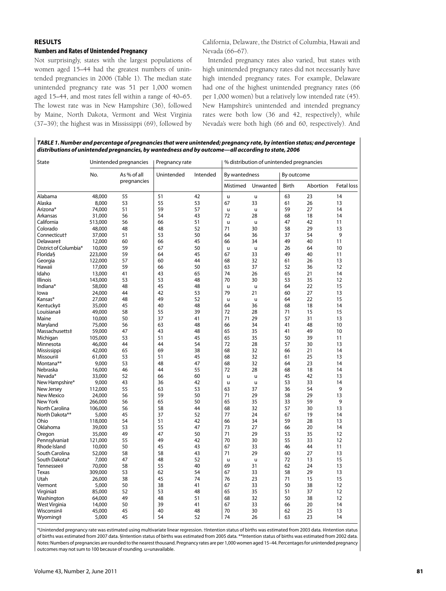## **RESULTS**

#### **Numbers and Rates of Unintended Pregnancy**

Not surprisingly, states with the largest populations of women aged 15–44 had the greatest numbers of unintended pregnancies in 2006 (Table 1). The median state unintended pregnancy rate was 51 per 1,000 women aged 15–44, and most rates fell within a range of 40–65. The lowest rate was in New Hampshire (36), followed by Maine, North Dakota, Vermont and West Virginia (37–39); the highest was in Mississippi (69), followed by California, Delaware, the District of Columbia, Hawaii and Nevada (66–67).

Intended pregnancy rates also varied, but states with high unintended pregnancy rates did not necessarily have high intended pregnancy rates. For example, Delaware had one of the highest unintended pregnancy rates (66 per 1,000 women) but a relatively low intended rate (45). New Hampshire's unintended and intended pregnancy rates were both low (36 and 42, respectively), while Nevada's were both high (66 and 60, respectively). And

*TABLE 1. Number and percentage of pregnancies that were unintended; pregnancy rate, by intention status; and percentage distributions of unintended pregnancies, by wantedness and by outcome—all according to state, 2006* 

| State                    | Unintended pregnancies |             | Pregnancy rate |          | % distribution of unintended pregnancies |          |            |          |                   |
|--------------------------|------------------------|-------------|----------------|----------|------------------------------------------|----------|------------|----------|-------------------|
|                          | No.                    | As % of all | Unintended     | Intended | By wantedness                            |          | By outcome |          |                   |
|                          |                        | pregnancies |                |          | Mistimed                                 | Unwanted | Birth      | Abortion | <b>Fetal loss</b> |
| Alabama                  | 48,000                 | 55          | 51             | 42       | u                                        | u        | 63         | 23       | 14                |
| Alaska                   | 8,000                  | 53          | 55             | 53       | 67                                       | 33       | 61         | 26       | 13                |
| Arizona*                 | 74,000                 | 51          | 59             | 57       | u                                        | u        | 59         | 27       | 14                |
| Arkansas                 | 31,000                 | 56          | 54             | 43       | 72                                       | 28       | 68         | 18       | 14                |
| California               | 513,000                | 56          | 66             | 51       | u                                        | u        | 47         | 42       | 11                |
| Colorado                 | 48,000                 | 48          | 48             | 52       | 71                                       | 30       | 58         | 29       | 13                |
| Connecticut <sup>+</sup> | 37,000                 | 51          | 53             | 50       | 64                                       | 36       | 37         | 54       | 9                 |
| Delaware‡                | 12,000                 | 60          | 66             | 45       | 66                                       | 34       | 49         | 40       | 11                |
| District of Columbia*    | 10,000                 | 59          | 67             | 50       | u                                        | u        | 26         | 64       | 10                |
| Florida§                 | 223,000                | 59          | 64             | 45       | 67                                       | 33       | 49         | 40       | 11                |
| Georgia                  | 122,000                | 57          | 60             | 44       | 68                                       | 32       | 61         | 26       | 13                |
| Hawaii                   | 17,000                 | 59          | 66             | 50       | 63                                       | 37       | 52         | 36       | 12                |
| Idaho                    | 13,000                 | 41          | 43             | 65       | 74                                       | 26       | 65         | 21       | 14                |
| <b>Illinois</b>          | 143,000                | 53          | 53             | 48       | 70                                       | 30       | 53         | 35       | 12                |
| Indiana*                 | 58,000                 | 48          | 45             | 48       | u                                        | u        | 64         | 22       | 15                |
| lowa                     | 24,000                 | 44          | 42             | 53       | 79                                       | 21       | 60         | 27       | 13                |
| Kansas*                  | 27,000                 | 48          | 49             | 52       | $\mathsf{u}$                             | u        | 64         | 22       | 15                |
| Kentucky‡                | 35,000                 | 45          | 40             | 48       | 64                                       | 36       | 68         | 18       | 14                |
| Louisiana‡               | 49,000                 | 58          | 55             | 39       | 72                                       | 28       | 71         | 15       | 15                |
| Maine                    | 10,000                 | 50          | 37             | 41       | 71                                       | 29       | 57         | 31       | 13                |
| Maryland                 | 75,000                 | 56          | 63             | 48       | 66                                       | 34       | 41         | 48       | 10                |
| Massachusetts‡           | 59,000                 | 47          | 43             | 48       | 65                                       | 35       | 41         | 49       | 10                |
| Michigan                 | 105,000                | 53          | 51             | 45       | 65                                       | 35       | 50         | 39       | 11                |
| Minnesota                | 46,000                 | 44          | 44             | 54       | 72                                       | 28       | 57         | 30       | 13                |
| Mississippi              | 42,000                 | 65          | 69             | 38       | 68                                       | 32       | 66         | 21       | 14                |
| Missouri‡                | 61,000                 | 53          | 51             | 45       | 68                                       | 32       | 61         | 25       | 13                |
| Montana**                | 9,000                  | 53          | 48             | 47       | 68                                       | 32       | 64         | 23       | 14                |
| Nebraska                 | 16,000                 | 46          | 44             | 55       | 72                                       | 28       | 68         | 18       | 14                |
|                          |                        | 52          | 66             | 60       |                                          |          | 45         | 42       | 13                |
| Nevada*                  | 33,000<br>9,000        | 43          | 36             | 42       | u                                        | u        | 53         | 33       | 14                |
| New Hampshire*           |                        | 55          | 63             | 53       | u<br>63                                  | u<br>37  | 36         | 54       | 9                 |
| New Jersey               | 112,000                | 56          | 59             | 50       |                                          | 29       | 58         | 29       | 13                |
| New Mexico               | 24,000                 |             |                |          | 71                                       |          |            |          |                   |
| New York                 | 266.000                | 56          | 65             | 50       | 65                                       | 35       | 33         | 59       | 9                 |
| North Carolina           | 106,000                | 56          | 58             | 44<br>52 | 68                                       | 32<br>24 | 57         | 30<br>19 | 13<br>14          |
| North Dakota**           | 5,000                  | 45          | 37             |          | 77                                       |          | 67         |          |                   |
| Ohio                     | 118,000                | 54<br>53    | 51<br>55       | 42<br>47 | 66                                       | 34       | 59         | 28       | 13<br>14          |
| Oklahoma                 | 39,000                 | 49          | 47             | 50       | 73<br>71                                 | 27<br>29 | 66<br>53   | 20<br>35 | 12                |
| Oregon                   | 35,000                 |             |                |          |                                          |          |            |          |                   |
| Pennsylvania‡            | 121,000                | 55          | 49             | 42       | 70                                       | 30       | 55         | 33       | 12                |
| Rhode Island             | 10,000                 | 50          | 45             | 43       | 67                                       | 33       | 46         | 44       | 11                |
| South Carolina           | 52,000                 | 58<br>47    | 58             | 43       | 71                                       | 29       | 60         | 27       | 13                |
| South Dakota*            | 7,000                  |             | 48             | 52       | u                                        | u        | 72         | 13       | 15                |
| Tennessee‡               | 70,000                 | 58          | 55             | 40       | 69                                       | 31       | 62         | 24       | 13                |
| <b>Texas</b>             | 309,000                | 53          | 62             | 54       | 67                                       | 33       | 58         | 29       | 13                |
| Utah                     | 26,000                 | 38          | 45             | 74       | 76                                       | 23       | 71         | 15       | 15                |
| Vermont                  | 5,000                  | 50          | 38             | 41       | 67                                       | 33       | 50         | 38       | 12                |
| Virginia‡                | 85,000                 | 52          | 53             | 48       | 65                                       | 35       | 51         | 37       | 12                |
| Washington               | 64,000                 | 49          | 48             | 51       | 68                                       | 32       | 50         | 38       | 12                |
| West Virginia            | 14,000                 | 50          | 39             | 41       | 67                                       | 33       | 66         | 20       | 14                |
| Wisconsin‡               | 45,000                 | 45          | 40             | 48       | 70                                       | 30       | 62         | 25       | 13                |
| Wyoming‡                 | 5,000                  | 45          | 54             | 52       | 74                                       | 26       | 63         | 23       | 14                |

\*Unintended pregnancy rate was estimated using multivariate linear regression. †Intention status of births was estimated from 2003 data. ‡Intention status of births was estimated from 2007 data. §Intention status of births was estimated from 2005 data. \*\*Intention status of births was estimated from 2002 data. *Notes:* Numbers of pregnancies are rounded to the nearest thousand. Pregnancy rates are per 1,000 women aged 15–44. Percentages for unintended pregnancy outcomes may not sum to 100 because of rounding. u=unavailable.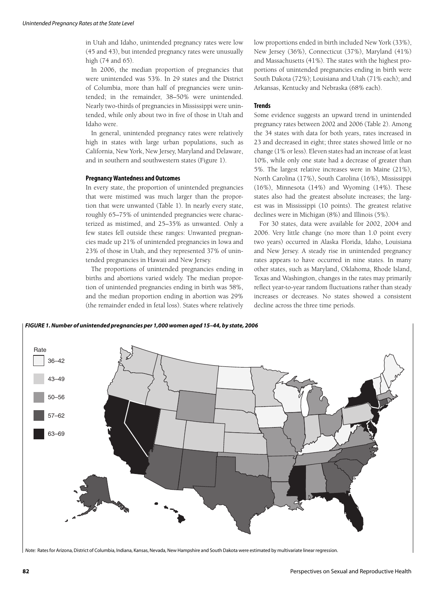in Utah and Idaho, unintended pregnancy rates were low (45 and 43), but intended pregnancy rates were unusually high (74 and 65).

In 2006, the median proportion of pregnancies that were unintended was 53%. In 29 states and the District of Columbia, more than half of pregnancies were unintended; in the remainder, 38–50% were unintended. Nearly two-thirds of pregnancies in Mississippi were unintended, while only about two in five of those in Utah and Idaho were.

In general, unintended pregnancy rates were relatively high in states with large urban populations, such as California, New York, New Jersey, Maryland and Delaware, and in southern and southwestern states (Figure 1).

#### **Pregnancy Wantedness and Outcomes**

In every state, the proportion of unintended pregnancies that were mistimed was much larger than the proportion that were unwanted (Table 1). In nearly every state, roughly 65–75% of unintended pregnancies were characterized as mistimed, and 25–35% as unwanted. Only a few states fell outside these ranges: Unwanted pregnancies made up 21% of unintended pregnancies in Iowa and 23% of those in Utah, and they represented 37% of unintended pregnancies in Hawaii and New Jersey.

The proportions of unintended pregnancies ending in births and abortions varied widely. The median proportion of unintended pregnancies ending in birth was 58%, and the median proportion ending in abortion was 29% (the remainder ended in fetal loss). States where relatively low proportions ended in birth included New York (33%), New Jersey (36%), Connecticut (37%), Maryland (41%) and Massachusetts (41%). The states with the highest proportions of unintended pregnancies ending in birth were South Dakota (72%); Louisiana and Utah (71% each); and Arkansas, Kentucky and Nebraska (68% each).

#### **Trends**

Some evidence suggests an upward trend in unintended pregnancy rates between 2002 and 2006 (Table 2). Among the 34 states with data for both years, rates increased in 23 and decreased in eight; three states showed little or no change (1% or less). Eleven states had an increase of at least 10%, while only one state had a decrease of greater than 5%. The largest relative increases were in Maine (21%), North Carolina (17%), South Carolina (16%), Mississippi (16%), Minnesota (14%) and Wyoming (14%). These states also had the greatest absolute increases; the largest was in Mississippi (10 points). The greatest relative declines were in Michigan (8%) and Illinois (5%).

For 30 states, data were available for 2002, 2004 and 2006. Very little change (no more than 1.0 point every two years) occurred in Alaska Florida, Idaho, Louisiana and New Jersey. A steady rise in unintended pregnancy rates appears to have occurred in nine states. In many other states, such as Maryland, Oklahoma, Rhode Island, Texas and Washington, changes in the rates may primarily reflect year-to-year random fluctuations rather than steady increases or decreases. No states showed a consistent decline across the three time periods.



*Note:* Rates for Arizona, District of Columbia, Indiana, Kansas, Nevada, New Hampshire and South Dakota were estimated by multivariate linear regression.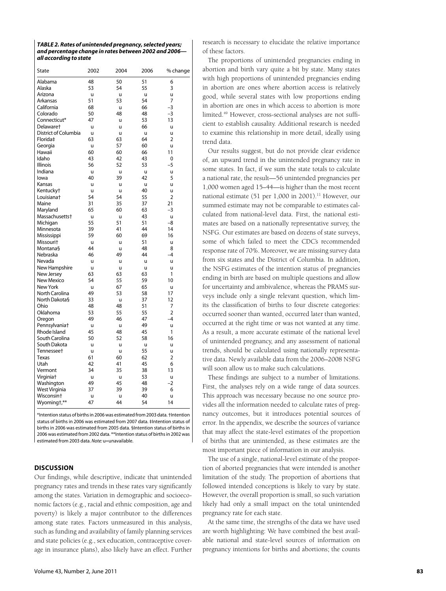| TABLE 2. Rates of unintended pregnancy, selected years; |
|---------------------------------------------------------|
| and percentage change in rates between 2002 and 2006-   |
| all according to state                                  |

| State                      | 2002 | 2004 | 2006 | % change       |
|----------------------------|------|------|------|----------------|
| Alabama                    | 48   | 50   | 51   | 6              |
| Alaska                     | 53   | 54   | 55   | 3              |
| Arizona                    | ū    | ū    | u    | u              |
| Arkansas                   | 51   | 53   | 54   | 7              |
| California                 | 68   | ū    | 66   | $-3$           |
| Colorado                   | 50   | 48   | 48   | $-3$           |
| Connecticut*               | 47   | ū    | 53   | 13             |
| Delawaret                  | ū    | ū    | 66   | ū              |
| District of Columbia       | ū    | ū    | u    | u              |
| Florida‡                   | 63   | 63   | 64   | $\overline{2}$ |
| Georgia                    | ū    | 57   | 60   | ū              |
| Hawaii                     | 60   | 60   | 66   | 11             |
| Idaho                      | 43   | 42   | 43   | 0              |
| <b>Illinois</b>            | 56   | 52   | 53   | $-5$           |
| Indiana                    | u    | u    | u    | u              |
| lowa                       | 40   | 39   | 42   | 5              |
| Kansas                     | ū    | u    | ū    | u              |
| Kentucky <sup>+</sup>      | u    | u    | 40   | u              |
| Louisianat                 | 54   | 54   | 55   | $\overline{2}$ |
| Maine                      | 31   | 35   | 37   | 21             |
| Maryland                   | 65   | 60   | 63   | -3             |
| Massachusetts <sup>+</sup> | ū    | ū    | 43   | u              |
| Michigan                   | 55   | 51   | 51   | $-8$           |
| Minnesota                  | 39   | 41   | 44   | 14             |
| Mississippi                | 59   | 60   | 69   | 16             |
| Missouri <sup>+</sup>      | ū    | u    | 51   | u              |
| Montana§                   | 44   | u    | 48   | 8              |
| Nebraska                   | 46   | 49   | 44   | $-4$           |
| Nevada                     | u    | u    | u    | u              |
| New Hampshire              | u    | u    | u    | u              |
| New Jersey                 | 63   | 63   | 63   | 1              |
| New Mexico                 | 54   | 55   | 59   | 10             |
| New York                   | u    | 67   | 65   | u              |
| North Carolina             | 49   | 53   | 58   | 17             |
| North Dakota§              | 33   | u    | 37   | 12             |
| Ohio                       | 48   | 48   | 51   | 7              |
| Oklahoma                   | 53   | 55   | 55   | $\overline{2}$ |
| Oregon                     | 49   | 46   | 47   | $-4$           |
| Pennsylvaniat              | u    | u    | 49   | u              |
| Rhode Island               | 45   | 48   | 45   | 1              |
| South Carolina             | 50   | 52   | 58   | 16             |
| South Dakota               | u    | u    | u    | u              |
| Tennessee <sup>+</sup>     | u    | u    | 55   | u              |
| Texas                      | 61   | 60   | 62   | 2              |
| Utah                       | 42   | 41   | 45   | 6              |
| Vermont                    | 34   | 35   | 38   | 13             |
| Virginia <sup>+</sup>      | u    | u    | 53   | u              |
| Washington                 | 49   | 45   | 48   | $-2$           |
| West Virginia              | 37   | 39   | 39   | 6              |
| Wisconsin <sup>+</sup>     | u    | u    | 40   | u              |
| Wyomingt,**                | 47   | 44   | 54   | 14             |

\*Intention status of births in 2006 was estimated from 2003 data. †Intention status of births in 2006 was estimated from 2007 data. ‡Intention status of births in 2006 was estimated from 2005 data. §Intention status of births in 2006 was estimated from 2002 data. \*\*Intention status of births in 2002 was estimated from 2003 data. *Note:* u=unavailable.

## **DISCUSSION**

Our findings, while descriptive, indicate that unintended pregnancy rates and trends in these rates vary significantly among the states. Variation in demographic and socioeconomic factors (e.g., racial and ethnic composition, age and poverty) is likely a major contributor to the differences among state rates. Factors unmeasured in this analysis, such as funding and availability of family planning services and state policies (e.g., sex education, contraceptive coverage in insurance plans), also likely have an effect. Further

research is necessary to elucidate the relative importance of these factors.

The proportions of unintended pregnancies ending in abortion and birth vary quite a bit by state. Many states with high proportions of unintended pregnancies ending in abortion are ones where abortion access is relatively good, while several states with low proportions ending in abortion are ones in which access to abortion is more limited.<sup>49</sup> However, cross-sectional analyses are not sufficient to establish causality. Additional research is needed to examine this relationship in more detail, ideally using trend data.

Our results suggest, but do not provide clear evidence of, an upward trend in the unintended pregnancy rate in some states. In fact, if we sum the state totals to calculate a national rate, the result—56 unintended pregnancies per 1,000 women aged 15–44—is higher than the most recent national estimate (51 per 1,000 in 2001).<sup>11</sup> However, our summed estimate may not be comparable to estimates calculated from national-level data. First, the national estimates are based on a nationally representative survey, the NSFG. Our estimates are based on dozens of state surveys, some of which failed to meet the CDC's recommended response rate of 70%. Moreover, we are missing survey data from six states and the District of Columbia. In addition, the NSFG estimates of the intention status of pregnancies ending in birth are based on multiple questions and allow for uncertainty and ambivalence, whereas the PRAMS surveys include only a single relevant question, which limits the classification of births to four discrete categories: occurred sooner than wanted, occurred later than wanted, occurred at the right time or was not wanted at any time. As a result, a more accurate estimate of the national level of unintended pregnancy, and any assessment of national trends, should be calculated using nationally representative data. Newly available data from the 2006–2008 NSFG will soon allow us to make such calculations.

These findings are subject to a number of limitations. First, the analyses rely on a wide range of data sources. This approach was necessary because no one source provides all the information needed to calculate rates of pregnancy outcomes, but it introduces potential sources of error. In the appendix, we describe the sources of variance that may affect the state-level estimates of the proportion of births that are unintended, as these estimates are the most important piece of information in our analysis.

The use of a single, national-level estimate of the proportion of aborted pregnancies that were intended is another limitation of the study. The proportion of abortions that followed intended conceptions is likely to vary by state. However, the overall proportion is small, so such variation likely had only a small impact on the total unintended pregnancy rate for each state.

At the same time, the strengths of the data we have used are worth highlighting: We have combined the best available national and state-level sources of information on pregnancy intentions for births and abortions; the counts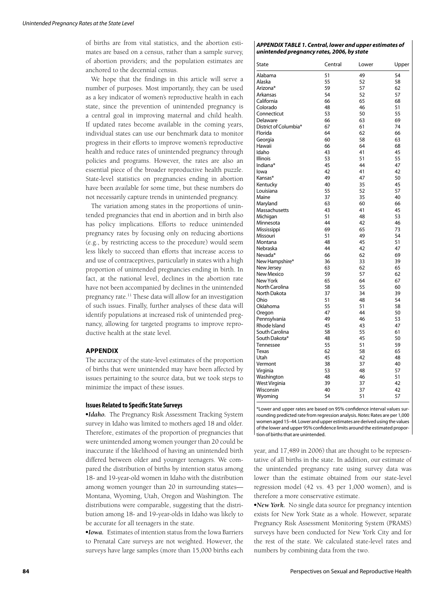of births are from vital statistics, and the abortion estimates are based on a census, rather than a sample survey, of abortion providers; and the population estimates are anchored to the decennial census.

We hope that the findings in this article will serve a number of purposes. Most importantly, they can be used as a key indicator of women's reproductive health in each state, since the prevention of unintended pregnancy is a central goal in improving maternal and child health. If updated rates become available in the coming years, individual states can use our benchmark data to monitor progress in their efforts to improve women's reproductive health and reduce rates of unintended pregnancy through policies and programs. However, the rates are also an essential piece of the broader reproductive health puzzle. State-level statistics on pregnancies ending in abortion have been available for some time, but these numbers do not necessarily capture trends in unintended pregnancy.

The variation among states in the proportions of unintended pregnancies that end in abortion and in birth also has policy implications. Efforts to reduce unintended pregnancy rates by focusing only on reducing abortions (e.g., by restricting access to the procedure) would seem less likely to succeed than efforts that increase access to and use of contraceptives, particularly in states with a high proportion of unintended pregnancies ending in birth. In fact, at the national level, declines in the abortion rate have not been accompanied by declines in the unintended pregnancy rate.11 These data will allow for an investigation of such issues. Finally, further analyses of these data will identify populations at increased risk of unintended pregnancy, allowing for targeted programs to improve reproductive health at the state level.

## **APPENDIX**

The accuracy of the state-level estimates of the proportion of births that were unintended may have been affected by issues pertaining to the source data, but we took steps to minimize the impact of these issues.

## **Issues Related to Specific State Surveys**

-*Idaho.* The Pregnancy Risk Assessment Tracking System survey in Idaho was limited to mothers aged 18 and older. Therefore, estimates of the proportion of pregnancies that were unintended among women younger than 20 could be inaccurate if the likelihood of having an unintended birth differed between older and younger teenagers. We compared the distribution of births by intention status among 18- and 19-year-old women in Idaho with the distribution among women younger than 20 in surrounding states— Montana, Wyoming, Utah, Oregon and Washington. The distributions were comparable, suggesting that the distribution among 18- and 19-year-olds in Idaho was likely to be accurate for all teenagers in the state.

-*Iowa.* Estimates of intention status from the Iowa Barriers to Prenatal Care surveys are not weighted. However, the surveys have large samples (more than 15,000 births each

#### *APPENDIX TABLE 1. Central, lower and upper estimates of unintended pregnancy rates, 2006, by state*

| State                 | Central | Lower | Upper |
|-----------------------|---------|-------|-------|
| Alabama               | 51      | 49    | 54    |
| Alaska                | 55      | 52    | 58    |
| Arizona*              | 59      | 57    | 62    |
| Arkansas              | 54      | 52    | 57    |
| California            | 66      | 65    | 68    |
| Colorado              | 48      | 46    | 51    |
| Connecticut           | 53      | 50    | 55    |
| Delaware              | 66      | 63    | 69    |
| District of Columbia* | 67      | 61    | 74    |
| Florida               | 64      | 62    | 66    |
| Georgia               | 60      | 58    | 63    |
| Hawaii                | 66      | 64    | 68    |
| Idaho                 | 43      | 41    | 45    |
| <b>Illinois</b>       | 53      | 51    | 55    |
| Indiana*              | 45      | 44    | 47    |
| lowa                  | 42      | 41    | 42    |
| Kansas*               | 49      | 47    | 50    |
| Kentucky              | 40      | 35    | 45    |
| Louisiana             | 55      | 52    | 57    |
| Maine                 | 37      | 35    | 40    |
| Maryland              | 63      | 60    | 66    |
| Massachusetts         | 43      | 41    | 45    |
| Michigan              | 51      | 48    | 53    |
| Minnesota             | 44      | 42    | 46    |
| Mississippi           | 69      | 65    | 73    |
| Missouri              | 51      | 49    | 54    |
| Montana               | 48      | 45    | 51    |
| Nebraska              | 44      | 42    | 47    |
| Nevada*               | 66      | 62    | 69    |
| New Hampshire*        | 36      | 33    | 39    |
| New Jersey            | 63      | 62    | 65    |
| <b>New Mexico</b>     | 59      | 57    | 62    |
| New York              | 65      | 64    | 67    |
| North Carolina        | 58      | 55    | 60    |
| North Dakota          | 37      | 34    | 39    |
| Ohio                  | 51      | 48    | 54    |
| Oklahoma              | 55      | 51    | 58    |
| Oregon                | 47      | 44    | 50    |
| Pennsylvania          | 49      | 46    | 53    |
| Rhode Island          | 45      | 43    | 47    |
| South Carolina        | 58      | 55    | 61    |
| South Dakota*         | 48      | 45    | 50    |
| Tennessee             | 55      | 51    | 59    |
| Texas                 | 62      | 58    | 65    |
| Utah                  | 45      | 42    | 48    |
| Vermont               | 38      | 37    | 40    |
| Virginia              | 53      | 48    | 57    |
| Washington            | 48      | 46    | 51    |
| West Virginia         | 39      | 37    | 42    |
| Wisconsin             | 40      | 37    | 42    |
|                       | 54      | 51    | 57    |
| Wyoming               |         |       |       |

\*Lower and upper rates are based on 95% confidence interval values surrounding predicted rate from regression analysis. *Notes:* Rates are per 1,000 women aged 15–44. Lower and upper estimates are derived using the values of the lower and upper 95% confi dence limits around the estimated proportion of births that are unintended.

year, and 17,489 in 2006) that are thought to be representative of all births in the state. In addition, our estimate of the unintended pregnancy rate using survey data was lower than the estimate obtained from our state-level regression model (42 vs. 43 per 1,000 women), and is therefore a more conservative estimate.

-*New York.* No single data source for pregnancy intention exists for New York State as a whole. However, separate Pregnancy Risk Assessment Monitoring System (PRAMS) surveys have been conducted for New York City and for the rest of the state. We calculated state-level rates and numbers by combining data from the two.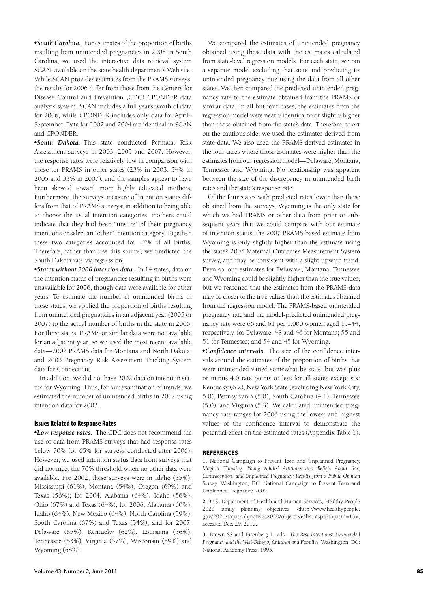-*South Carolina.* For estimates of the proportion of births resulting from unintended pregnancies in 2006 in South Carolina, we used the interactive data retrieval system SCAN, available on the state health department's Web site. While SCAN provides estimates from the PRAMS surveys, the results for 2006 differ from those from the Centers for Disease Control and Prevention (CDC) CPONDER data analysis system. SCAN includes a full year's worth of data for 2006, while CPONDER includes only data for April– September. Data for 2002 and 2004 are identical in SCAN and CPONDER.

-*South Dakota.* This state conducted Perinatal Risk Assessment surveys in 2003, 2005 and 2007. However, the response rates were relatively low in comparison with those for PRAMS in other states (23% in 2003, 34% in 2005 and 33% in 2007), and the samples appear to have been skewed toward more highly educated mothers. Furthermore, the surveys' measure of intention status differs from that of PRAMS surveys; in addition to being able to choose the usual intention categories, mothers could indicate that they had been "unsure" of their pregnancy intentions or select an "other" intention category. Together, these two categories accounted for 17% of all births. Therefore, rather than use this source, we predicted the South Dakota rate via regression.

-*States without 2006 intention data.* In 14 states, data on the intention status of pregnancies resulting in births were unavailable for 2006, though data were available for other years. To estimate the number of unintended births in these states, we applied the proportion of births resulting from unintended pregnancies in an adjacent year (2005 or 2007) to the actual number of births in the state in 2006. For three states, PRAMS or similar data were not available for an adjacent year, so we used the most recent available data—2002 PRAMS data for Montana and North Dakota, and 2003 Pregnancy Risk Assessment Tracking System data for Connecticut.

In addition, we did not have 2002 data on intention status for Wyoming. Thus, for our examination of trends, we estimated the number of unintended births in 2002 using intention data for 2003.

## **Issues Related to Response Rates**

-*Low response rates.* The CDC does not recommend the use of data from PRAMS surveys that had response rates below 70% (or 65% for surveys conducted after 2006). However, we used intention status data from surveys that did not meet the 70% threshold when no other data were available. For 2002, these surveys were in Idaho (55%), Mississippi (61%), Montana (54%), Oregon (69%) and Texas (56%); for 2004, Alabama (64%), Idaho (56%), Ohio (67%) and Texas (64%); for 2006, Alabama (60%), Idaho (64%), New Mexico (64%), North Carolina (59%), South Carolina (67%) and Texas (54%); and for 2007, Delaware (65%), Kentucky (62%), Louisiana (56%), Tennessee (63%), Virginia (57%), Wisconsin (69%) and Wyoming (68%).

We compared the estimates of unintended pregnancy obtained using these data with the estimates calculated from state-level regression models. For each state, we ran a separate model excluding that state and predicting its unintended pregnancy rate using the data from all other states. We then compared the predicted unintended pregnancy rate to the estimate obtained from the PRAMS or similar data. In all but four cases, the estimates from the regression model were nearly identical to or slightly higher than those obtained from the state's data. Therefore, to err on the cautious side, we used the estimates derived from state data. We also used the PRAMS-derived estimates in the four cases where those estimates were higher than the estimates from our regression model—Delaware, Montana, Tennessee and Wyoming. No relationship was apparent between the size of the discrepancy in unintended birth rates and the state's response rate.

Of the four states with predicted rates lower than those obtained from the surveys, Wyoming is the only state for which we had PRAMS or other data from prior or subsequent years that we could compare with our estimate of intention status; the 2007 PRAMS-based estimate from Wyoming is only slightly higher than the estimate using the state's 2005 Maternal Outcomes Measurement System survey, and may be consistent with a slight upward trend. Even so, our estimates for Delaware, Montana, Tennessee and Wyoming could be slightly higher than the true values, but we reasoned that the estimates from the PRAMS data may be closer to the true values than the estimates obtained from the regression model. The PRAMS-based unintended pregnancy rate and the model-predicted unintended pregnancy rate were 66 and 61 per 1,000 women aged 15–44, respectively, for Delaware; 48 and 46 for Montana; 55 and 51 for Tennessee; and 54 and 45 for Wyoming.

**• Confidence intervals.** The size of the confidence intervals around the estimates of the proportion of births that were unintended varied somewhat by state, but was plus or minus 4.0 rate points or less for all states except six: Kentucky (6.2), New York State (excluding New York City, 5.0), Pennsylvania (5.0), South Carolina (4.1), Tennessee (5.0), and Virginia (5.3). We calculated unintended pregnancy rate ranges for 2006 using the lowest and highest values of the confidence interval to demonstrate the potential effect on the estimated rates (Appendix Table 1).

#### **REFERENCES**

**1.** National Campaign to Prevent Teen and Unplanned Pregnancy, *Magical Thinking: Young Adults' Attitudes and Beliefs About Sex, Contraception, and Unplanned Pregnancy: Results from a Public Opinion Survey,* Washington, DC: National Campaign to Prevent Teen and Unplanned Pregnancy, 2009.

**2.** U.S. Department of Health and Human Services, Healthy People 2020 family planning objectives, <http://www.healthypeople. gov/2020/topicsobjectives2020/objectiveslist.aspx?topicid=13>, accessed Dec. 29, 2010.

**3.** Brown SS and Eisenberg L, eds., *The Best Intentions: Unintended Pregnancy and the Well-Being of Children and Families,* Washington, DC: National Academy Press, 1995.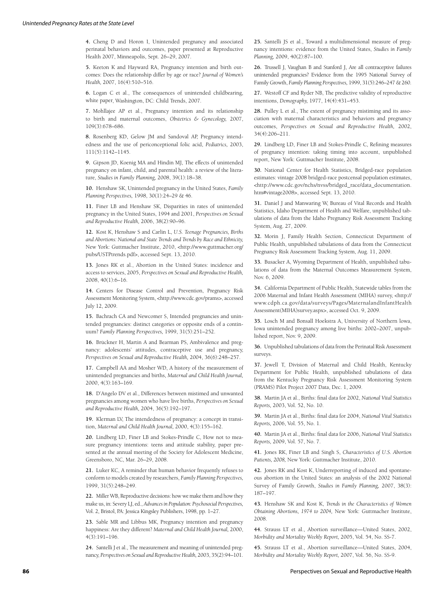**4.** Cheng D and Horon I, Unintended pregnancy and associated perinatal behaviors and outcomes, paper presented at Reproductive Health 2007, Minneapolis, Sept. 26–29, 2007.

**5.** Keeton K and Hayward RA, Pregnancy intention and birth outcomes: Does the relationship differ by age or race? *Journal of Women's Health,* 2007, 16(4):510–516.

**6.** Logan C et al., The consequences of unintended childbearing, white paper, Washington, DC: Child Trends, 2007.

**7.** Mohllajee AP et al., Pregnancy intention and its relationship to birth and maternal outcomes, *Obstetrics & Gynecology,* 2007, 109(3):678–686.

**8.** Rosenberg KD, Gelow JM and Sandoval AP, Pregnancy intendedness and the use of periconceptional folic acid, *Pediatrics,* 2003, 111(5):1142–1145.

**9.** Gipson JD, Koenig MA and Hindin MJ, The effects of unintended pregnancy on infant, child, and parental health: a review of the literature, *Studies in Family Planning,* 2008, 39(1):18–38.

**10.** Henshaw SK, Unintended pregnancy in the United States, *Family Planning Perspectives,* 1998, 30(1):24–29 & 46.

**11.** Finer LB and Henshaw SK, Disparities in rates of unintended pregnancy in the United States, 1994 and 2001, *Perspectives on Sexual and Reproductive Health,* 2006, 38(2):90–96.

**12.** Kost K, Henshaw S and Carlin L, *U.S. Teenage Pregnancies, Births and Abortions: National and State Trends and Trends by Race and Ethnicity,* New York: Guttmacher Institute, 2010, <http://www.guttmacher.org/ pubs/USTPtrends.pdf>, accessed Sept. 13, 2010.

**13.** Jones RK et al., Abortion in the United States: incidence and access to services, 2005, *Perspectives on Sexual and Reproductive Health,* 2008, 40(1):6–16.

**14.** Centers for Disease Control and Prevention, Pregnancy Risk Assessment Monitoring System, <http://www.cdc.gov/prams>, accessed July 12, 2009.

**15.** Bachrach CA and Newcomer S, Intended pregnancies and unintended pregnancies: distinct categories or opposite ends of a continuum? *Family Planning Perspectives,* 1999, 31(5):251–252.

**16.** Brückner H, Martin A and Bearman PS, Ambivalence and pregnancy: adolescents' attitudes, contraceptive use and pregnancy, *Perspectives on Sexual and Reproductive Health,* 2004, 36(6):248–257.

**17.** Campbell AA and Mosher WD, A history of the measurement of unintended pregnancies and births, *Maternal and Child Health Journal,* 2000, 4(3):163–169.

**18.** D'Angelo DV et al., Differences between mistimed and unwanted pregnancies among women who have live births, *Perspectives on Sexual and Reproductive Health,* 2004, 36(5):192–197.

**19.** Klerman LV, The intendedness of pregnancy: a concept in transition, *Maternal and Child Health Journal,* 2000, 4(3):155–162.

**20.** Lindberg LD, Finer LB and Stokes-Prindle C, How not to measure pregnancy intentions: teens and attitude stability, paper presented at the annual meeting of the Society for Adolescent Medicine, Greensboro, NC, Mar. 26–29, 2008.

**21.** Luker KC, A reminder that human behavior frequently refuses to conform to models created by researchers, *Family Planning Perspectives,* 1999, 31(5):248–249.

**22.** Miller WB, Reproductive decisions: how we make them and how they make us, in: Severy LJ, ed., *Advances in Population: Psychosocial Perspectives,* Vol. 2, Bristol, PA: Jessica Kingsley Publishers, 1998, pp. 1–27.

**23.** Sable MR and Libbus MK, Pregnancy intention and pregnancy happiness: Are they different? *Maternal and Child Health Journal,* 2000, 4(3):191–196.

**24.** Santelli J et al., The measurement and meaning of unintended pregnancy, *Perspectives on Sexual and Reproductive Health,* 2003, 35(2):94–101.

**25.** Santelli JS et al., Toward a multidimensional measure of pregnancy intentions: evidence from the United States, *Studies in Family Planning,* 2009, 40(2):87–100.

**26.** Trussell J, Vaughan B and Stanford J, Are all contraceptive failures unintended pregnancies? Evidence from the 1995 National Survey of Family Growth, *Family Planning Perspectives,* 1999, 31(5):246–247 & 260.

**27.** Westoff CF and Ryder NB, The predictive validity of reproductive intentions, *Demography,* 1977, 14(4):431–453.

**28.** Pulley L et al., The extent of pregnancy mistiming and its association with maternal characteristics and behaviors and pregnancy outcomes, *Perspectives on Sexual and Reproductive Health,* 2002, 34(4):206–211.

29. Lindberg LD, Finer LB and Stokes-Prindle C, Refining measures of pregnancy intention: taking timing into account, unpublished report, New York: Guttmacher Institute, 2008.

**30.** National Center for Health Statistics, Bridged-race population estimates: vintage 2008 bridged-race postcensal population estimates, <http://www.cdc.gov/nchs/nvss/bridged\_race/data\_documentation. htm#vintage2008>, accessed Sept. 13, 2010.

**31.** Daniel J and Manwaring W, Bureau of Vital Records and Health Statistics, Idaho Department of Health and Welfare, unpublished tabulations of data from the Idaho Pregnancy Risk Assessment Tracking System, Aug. 27, 2009.

**32.** Morin J, Family Health Section, Connecticut Department of Public Health, unpublished tabulations of data from the Connecticut Pregnancy Risk Assessment Tracking System, Aug. 11, 2009.

**33.** Busacker A, Wyoming Department of Health, unpublished tabulations of data from the Maternal Outcomes Measurement System, Nov. 6, 2009.

**34.** California Department of Public Health, Statewide tables from the 2006 Maternal and Infant Health Assessment (MIHA) survey, <http:// www.cdph.ca.gov/data/surveys/Pages/MaternalandInfantHealth Assessment(MIHA)survey.aspx>, accessed Oct. 9, 2009.

**35.** Losch M and Bonsall Hoekstra A, University of Northern lowa, Iowa unintended pregnancy among live births: 2002–2007, unpublished report, Nov. 9, 2009.

**36.** Unpublished tabulations of data from the Perinatal Risk Assessment surveys.

**37.** Jewell T, Division of Maternal and Child Health, Kentucky Department for Public Health, unpublished tabulations of data from the Kentucky Pregnancy Risk Assessment Monitoring System (PRAMS) Pilot Project 2007 Data, Dec. 1, 2009.

**38.** Martin JA et al., Births: final data for 2002, *National Vital Statistics Reports,* 2003, Vol. 52, No. 10.

**39.** Martin JA et al., Births: final data for 2004, *National Vital Statistics Reports,* 2006, Vol. 55, No. 1.

40. Martin JA et al., Births: final data for 2006, *National Vital Statistics Reports,* 2009, Vol. 57, No. 7.

**41.** Jones RK, Finer LB and Singh S, *Characteristics of U.S. Abortion Patients, 2008,* New York: Guttmacher Institute, 2010.

**42.** Jones RK and Kost K, Underreporting of induced and spontaneous abortion in the United States: an analysis of the 2002 National Survey of Family Growth, *Studies in Family Planning,* 2007, 38(3): 187–197.

**43.** Henshaw SK and Kost K, *Trends in the Characteristics of Women Obtaining Abortions, 1974 to 2004,* New York: Guttmacher Institute, 2008.

**44.** Strauss LT et al., Abortion surveillance—United States, 2002, *Morbidity and Mortality Weekly Report,* 2005, Vol. 54, No. SS-7.

**45.** Strauss LT et al., Abortion surveillance—United States, 2004, *Morbidity and Mortality Weekly Report,* 2007, Vol. 56, No. SS-9.